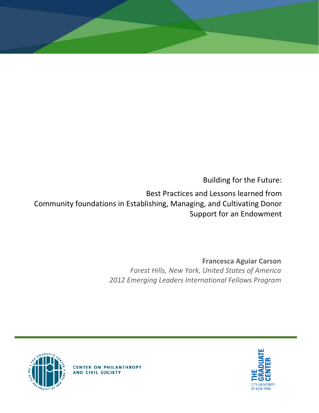Building for the Future:

Best Practices and Lessons learned from Community foundations in Establishing, Managing, and Cultivating Donor Support for an Endowment

> **Francesca Aguiar Carson** *Forest Hills, New York, United States of America 2012 Emerging Leaders International Fellows Program*





**CENTER ON PHILANTHROPY** AND CIVIL SOCIETY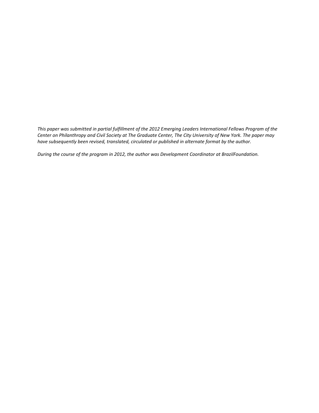*This paper was submitted in partial fulfillment of the 2012 Emerging Leaders International Fellows Program of the Center on Philanthropy and Civil Society at The Graduate Center, The City University of New York. The paper may have subsequently been revised, translated, circulated or published in alternate format by the author.*

*During the course of the program in 2012, the author was Development Coordinator at BrazilFoundation.*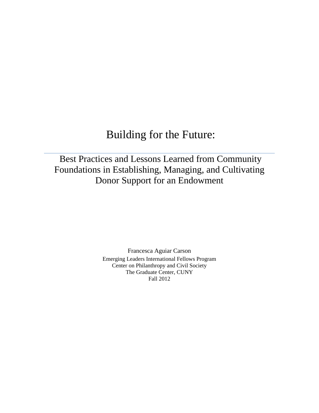# Building for the Future:

## Best Practices and Lessons Learned from Community Foundations in Establishing, Managing, and Cultivating Donor Support for an Endowment

Francesca Aguiar Carson Emerging Leaders International Fellows Program Center on Philanthropy and Civil Society The Graduate Center, CUNY Fall 2012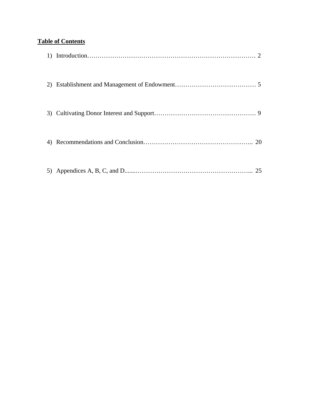### **Table of Contents**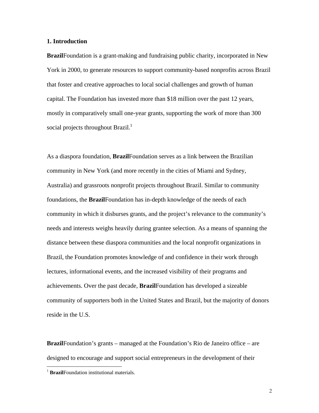#### **1. Introduction**

**Brazil**Foundation is a grant-making and fundraising public charity, incorporated in New York in 2000, to generate resources to support community-based nonprofits across Brazil that foster and creative approaches to local social challenges and growth of human capital. The Foundation has invested more than \$18 million over the past 12 years, mostly in comparatively small one-year grants, supporting the work of more than 300 social projects throughout Brazil.<sup>1</sup>

As a diaspora foundation, **Brazil**Foundation serves as a link between the Brazilian community in New York (and more recently in the cities of Miami and Sydney, Australia) and grassroots nonprofit projects throughout Brazil. Similar to community foundations, the **Brazil**Foundation has in-depth knowledge of the needs of each community in which it disburses grants, and the project's relevance to the community's needs and interests weighs heavily during grantee selection. As a means of spanning the distance between these diaspora communities and the local nonprofit organizations in Brazil, the Foundation promotes knowledge of and confidence in their work through lectures, informational events, and the increased visibility of their programs and achievements. Over the past decade, **Brazil**Foundation has developed a sizeable community of supporters both in the United States and Brazil, but the majority of donors reside in the U.S.

**Brazil**Foundation's grants – managed at the Foundation's Rio de Janeiro office – are designed to encourage and support social entrepreneurs in the development of their

<sup>&</sup>lt;sup>1</sup> **Brazil**Foundation institutional materials.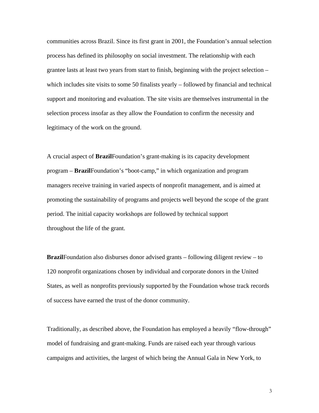communities across Brazil. Since its first grant in 2001, the Foundation's annual selection process has defined its philosophy on social investment. The relationship with each grantee lasts at least two years from start to finish, beginning with the project selection – which includes site visits to some 50 finalists yearly – followed by financial and technical support and monitoring and evaluation. The site visits are themselves instrumental in the selection process insofar as they allow the Foundation to confirm the necessity and legitimacy of the work on the ground.

A crucial aspect of **Brazil**Foundation's grant-making is its capacity development program – **Brazil**Foundation's "boot-camp," in which organization and program managers receive training in varied aspects of nonprofit management, and is aimed at promoting the sustainability of programs and projects well beyond the scope of the grant period. The initial capacity workshops are followed by technical support throughout the life of the grant.

**Brazil**Foundation also disburses donor advised grants – following diligent review – to 120 nonprofit organizations chosen by individual and corporate donors in the United States, as well as nonprofits previously supported by the Foundation whose track records of success have earned the trust of the donor community.

Traditionally, as described above, the Foundation has employed a heavily "flow-through" model of fundraising and grant-making. Funds are raised each year through various campaigns and activities, the largest of which being the Annual Gala in New York, to

3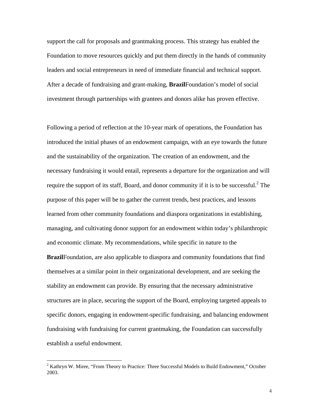support the call for proposals and grantmaking process. This strategy has enabled the Foundation to move resources quickly and put them directly in the hands of community leaders and social entrepreneurs in need of immediate financial and technical support. After a decade of fundraising and grant-making, **Brazil**Foundation's model of social investment through partnerships with grantees and donors alike has proven effective.

Following a period of reflection at the 10-year mark of operations, the Foundation has introduced the initial phases of an endowment campaign, with an eye towards the future and the sustainability of the organization. The creation of an endowment, and the necessary fundraising it would entail, represents a departure for the organization and will require the support of its staff, Board, and donor community if it is to be successful. $^{2}$  The purpose of this paper will be to gather the current trends, best practices, and lessons learned from other community foundations and diaspora organizations in establishing, managing, and cultivating donor support for an endowment within today's philanthropic and economic climate. My recommendations, while specific in nature to the **Brazil**Foundation, are also applicable to diaspora and community foundations that find themselves at a similar point in their organizational development, and are seeking the stability an endowment can provide. By ensuring that the necessary administrative structures are in place, securing the support of the Board, employing targeted appeals to specific donors, engaging in endowment-specific fundraising, and balancing endowment fundraising with fundraising for current grantmaking, the Foundation can successfully establish a useful endowment.

 $2^{2}$  Kathryn W. Miree, "From Theory to Practice: Three Successful Models to Build Endowment," October 2003.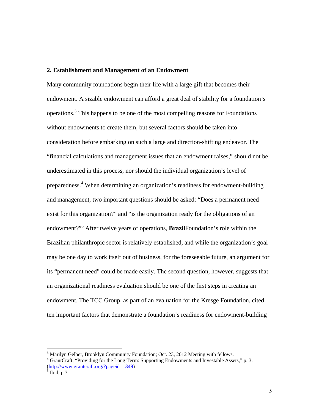#### **2. Establishment and Management of an Endowment**

Many community foundations begin their life with a large gift that becomes their endowment. A sizable endowment can afford a great deal of stability for a foundation's operations.<sup>3</sup> This happens to be one of the most compelling reasons for Foundations without endowments to create them, but several factors should be taken into consideration before embarking on such a large and direction-shifting endeavor. The "financial calculations and management issues that an endowment raises," should not be underestimated in this process, nor should the individual organization's level of preparedness.<sup>4</sup> When determining an organization's readiness for endowment-building and management, two important questions should be asked: "Does a permanent need exist for this organization?" and "is the organization ready for the obligations of an endowment?"5 After twelve years of operations, **Brazil**Foundation's role within the Brazilian philanthropic sector is relatively established, and while the organization's goal may be one day to work itself out of business, for the foreseeable future, an argument for its "permanent need" could be made easily. The second question, however, suggests that an organizational readiness evaluation should be one of the first steps in creating an endowment. The TCC Group, as part of an evaluation for the Kresge Foundation, cited ten important factors that demonstrate a foundation's readiness for endowment-building

 $3$  Marilyn Gelber, Brooklyn Community Foundation; Oct. 23, 2012 Meeting with fellows.

<sup>&</sup>lt;sup>4</sup> GrantCraft, "Providing for the Long Term: Supporting Endowments and Investable Assets," p. 3. (http://www.grantcraft.org/?pageid=1349)<br><sup>5</sup> Ibid, p.7.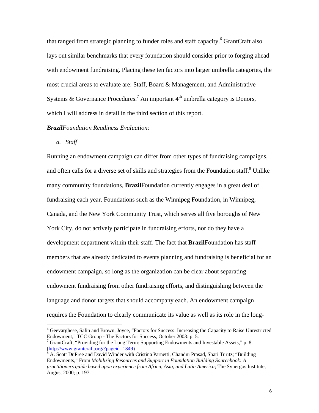that ranged from strategic planning to funder roles and staff capacity.<sup>6</sup> GrantCraft also lays out similar benchmarks that every foundation should consider prior to forging ahead with endowment fundraising. Placing these ten factors into larger umbrella categories, the most crucial areas to evaluate are: Staff, Board & Management, and Administrative Systems & Governance Procedures.<sup>7</sup> An important  $4<sup>th</sup>$  umbrella category is Donors, which I will address in detail in the third section of this report.

#### *BrazilFoundation Readiness Evaluation:*

*a. Staff* 

 $\overline{a}$ 

Running an endowment campaign can differ from other types of fundraising campaigns, and often calls for a diverse set of skills and strategies from the Foundation staff.<sup>8</sup> Unlike many community foundations, **Brazil**Foundation currently engages in a great deal of fundraising each year. Foundations such as the Winnipeg Foundation, in Winnipeg, Canada, and the New York Community Trust, which serves all five boroughs of New York City, do not actively participate in fundraising efforts, nor do they have a development department within their staff. The fact that **Brazil**Foundation has staff members that are already dedicated to events planning and fundraising is beneficial for an endowment campaign, so long as the organization can be clear about separating endowment fundraising from other fundraising efforts, and distinguishing between the language and donor targets that should accompany each. An endowment campaign requires the Foundation to clearly communicate its value as well as its role in the long-

<sup>&</sup>lt;sup>6</sup> Geevarghese, Salin and Brown, Joyce, "Factors for Success: Increasing the Capacity to Raise Unrestricted Endowment," TCC Group - The Factors for Success, October 2003: p. 5.

<sup>&</sup>lt;sup>7</sup> GrantCraft, "Providing for the Long Term: Supporting Endowments and Investable Assets," p. 8. (http://www.grantcraft.org/?pageid=1349) 8

<sup>&</sup>lt;sup>8</sup> A. Scott DuPree and David Winder with Cristina Parnetti, Chandni Prasad, Shari Turitz; "Building Endowments," From *Mobilizing Resources and Support in Foundation Building Sourcebook: A practitioners guide based upon experience from Africa, Asia, and Latin America*; The Synergos Institute, August 2000; p. 197.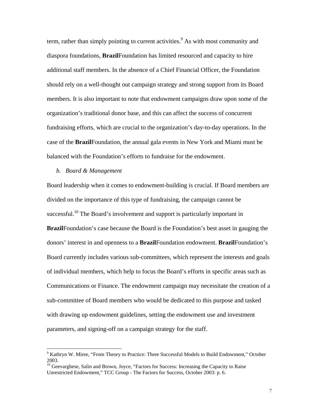term, rather than simply pointing to current activities.<sup>9</sup> As with most community and diaspora foundations, **Brazil**Foundation has limited resourced and capacity to hire additional staff members. In the absence of a Chief Financial Officer, the Foundation should rely on a well-thought out campaign strategy and strong support from its Board members. It is also important to note that endowment campaigns draw upon some of the organization's traditional donor base, and this can affect the success of concurrent fundraising efforts, which are crucial to the organization's day-to-day operations. In the case of the **Brazil**Foundation, the annual gala events in New York and Miami must be balanced with the Foundation's efforts to fundraise for the endowment.

#### *b. Board & Management*

 $\overline{a}$ 

Board leadership when it comes to endowment-building is crucial. If Board members are divided on the importance of this type of fundraising, the campaign cannot be successful.<sup>10</sup> The Board's involvement and support is particularly important in **Brazil**Foundation's case because the Board is the Foundation's best asset in gauging the donors' interest in and openness to a **Brazil**Foundation endowment. **Brazil**Foundation's Board currently includes various sub-committees, which represent the interests and goals of individual members, which help to focus the Board's efforts in specific areas such as Communications or Finance. The endowment campaign may necessitate the creation of a sub-committee of Board members who would be dedicated to this purpose and tasked with drawing up endowment guidelines, setting the endowment use and investment parameters, and signing-off on a campaign strategy for the staff.

<sup>&</sup>lt;sup>9</sup> Kathryn W. Miree, "From Theory to Practice: Three Successful Models to Build Endowment," October 2003.

<sup>&</sup>lt;sup>10</sup> Geevarghese, Salin and Brown, Joyce, "Factors for Success: Increasing the Capacity to Raise Unrestricted Endowment," TCC Group - The Factors for Success, October 2003: p. 6.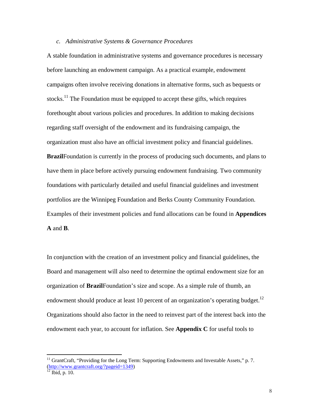#### *c. Administrative Systems & Governance Procedures*

A stable foundation in administrative systems and governance procedures is necessary before launching an endowment campaign. As a practical example, endowment campaigns often involve receiving donations in alternative forms, such as bequests or stocks.<sup>11</sup> The Foundation must be equipped to accept these gifts, which requires forethought about various policies and procedures. In addition to making decisions regarding staff oversight of the endowment and its fundraising campaign, the organization must also have an official investment policy and financial guidelines. **Brazil**Foundation is currently in the process of producing such documents, and plans to have them in place before actively pursuing endowment fundraising. Two community foundations with particularly detailed and useful financial guidelines and investment portfolios are the Winnipeg Foundation and Berks County Community Foundation. Examples of their investment policies and fund allocations can be found in **Appendices A** and **B**.

In conjunction with the creation of an investment policy and financial guidelines, the Board and management will also need to determine the optimal endowment size for an organization of **Brazil**Foundation's size and scope. As a simple rule of thumb, an endowment should produce at least 10 percent of an organization's operating budget.<sup>12</sup> Organizations should also factor in the need to reinvest part of the interest back into the endowment each year, to account for inflation. See **Appendix C** for useful tools to

<sup>&</sup>lt;sup>11</sup> GrantCraft, "Providing for the Long Term: Supporting Endowments and Investable Assets," p. 7. (http://www.grantcraft.org/?pageid=1349)<br><sup>12</sup> Ibid, p. 10.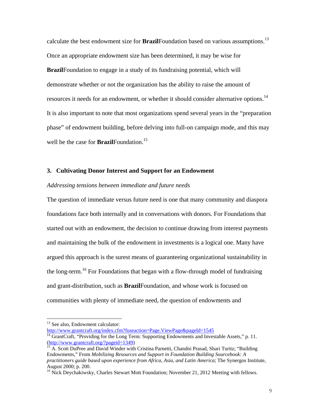calculate the best endowment size for **Brazil**Foundation based on various assumptions.<sup>13</sup> Once an appropriate endowment size has been determined, it may be wise for **Brazil**Foundation to engage in a study of its fundraising potential, which will demonstrate whether or not the organization has the ability to raise the amount of resources it needs for an endowment, or whether it should consider alternative options.<sup>14</sup> It is also important to note that most organizations spend several years in the "preparation phase" of endowment building, before delving into full-on campaign mode, and this may well be the case for **Brazil**Foundation.<sup>15</sup>

#### **3. Cultivating Donor Interest and Support for an Endowment**

#### *Addressing tensions between immediate and future needs*

The question of immediate versus future need is one that many community and diaspora foundations face both internally and in conversations with donors. For Foundations that started out with an endowment, the decision to continue drawing from interest payments and maintaining the bulk of the endowment in investments is a logical one. Many have argued this approach is the surest means of guaranteeing organizational sustainability in the long-term.<sup>16</sup> For Foundations that began with a flow-through model of fundraising and grant-distribution, such as **Brazil**Foundation, and whose work is focused on communities with plenty of immediate need, the question of endowments and

<sup>&</sup>lt;sup>13</sup> See also, Endowment calculator:

http://www.grantcraft.org/index.cfm?fuseaction=Page.ViewPage&pageId=1545<br><sup>14</sup> GrantCraft, "Providing for the Long Term: Supporting Endowments and Investable Assets," p. 11.<br>(http://www.grantcraft.org/?pageid=1349)

<sup>&</sup>lt;sup>15</sup> A. Scott DuPree and David Winder with Cristina Parnetti, Chandni Prasad, Shari Turitz; "Building Endowments," From *Mobilizing Resources and Support in Foundation Building Sourcebook: A practitioners guide based upon experience from Africa, Asia, and Latin America*; The Synergos Institute, August 2000; p. 200.

<sup>&</sup>lt;sup>16</sup> Nick Deychakiwsky, Charles Stewart Mott Foundation; November 21, 2012 Meeting with fellows.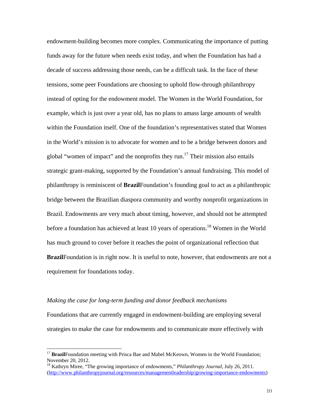endowment-building becomes more complex. Communicating the importance of putting funds away for the future when needs exist today, and when the Foundation has had a decade of success addressing those needs, can be a difficult task. In the face of these tensions, some peer Foundations are choosing to uphold flow-through philanthropy instead of opting for the endowment model. The Women in the World Foundation, for example, which is just over a year old, has no plans to amass large amounts of wealth within the Foundation itself. One of the foundation's representatives stated that Women in the World's mission is to advocate for women and to be a bridge between donors and global "women of impact" and the nonprofits they run.<sup>17</sup> Their mission also entails strategic grant-making, supported by the Foundation's annual fundraising. This model of philanthropy is reminiscent of **Brazil**Foundation's founding goal to act as a philanthropic bridge between the Brazilian diaspora community and worthy nonprofit organizations in Brazil. Endowments are very much about timing, however, and should not be attempted before a foundation has achieved at least 10 years of operations.<sup>18</sup> Women in the World has much ground to cover before it reaches the point of organizational reflection that **Brazil**Foundation is in right now. It is useful to note, however, that endowments are not a requirement for foundations today.

#### *Making the case for long-term funding and donor feedback mechanisms*

 $\overline{a}$ 

Foundations that are currently engaged in endowment-building are employing several strategies to make the case for endowments and to communicate more effectively with

<sup>&</sup>lt;sup>17</sup> BrazilFoundation meeting with Prisca Bae and Mabel McKeown, Women in the World Foundation; November 20, 2012.

<sup>18</sup> Kathryn Miree, "The growing importance of endowments," *Philanthropy Journal*, July 26, 2011. (http://www.philanthropyjournal.org/resources/managementleadership/growing-importance-endowments)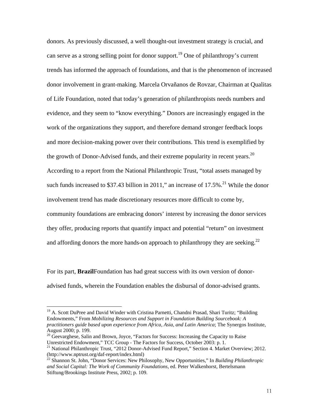donors. As previously discussed, a well thought-out investment strategy is crucial, and can serve as a strong selling point for donor support.<sup>19</sup> One of philanthropy's current trends has informed the approach of foundations, and that is the phenomenon of increased donor involvement in grant-making. Marcela Orvañanos de Rovzar, Chairman at Qualitas of Life Foundation, noted that today's generation of philanthropists needs numbers and evidence, and they seem to "know everything." Donors are increasingly engaged in the work of the organizations they support, and therefore demand stronger feedback loops and more decision-making power over their contributions. This trend is exemplified by the growth of Donor-Advised funds, and their extreme popularity in recent years.<sup>20</sup> According to a report from the National Philanthropic Trust, "total assets managed by such funds increased to \$37.43 billion in 2011," an increase of  $17.5\%$ <sup>21</sup> While the donor involvement trend has made discretionary resources more difficult to come by, community foundations are embracing donors' interest by increasing the donor services they offer, producing reports that quantify impact and potential "return" on investment and affording donors the more hands-on approach to philanthropy they are seeking.<sup>22</sup>

For its part, **Brazil**Foundation has had great success with its own version of donoradvised funds, wherein the Foundation enables the disbursal of donor-advised grants.

<sup>&</sup>lt;sup>19</sup> A. Scott DuPree and David Winder with Cristina Parnetti, Chandni Prasad, Shari Turitz; "Building Endowments," From *Mobilizing Resources and Support in Foundation Building Sourcebook: A practitioners guide based upon experience from Africa, Asia, and Latin America*; The Synergos Institute, August 2000; p. 199.

 $20$  Geevarghese, Salin and Brown, Joyce, "Factors for Success: Increasing the Capacity to Raise Unrestricted Endowment," TCC Group - The Factors for Success, October 2003: p. 1.

<sup>&</sup>lt;sup>21</sup> National Philanthropic Trust, "2012 Donor-Advised Fund Report," Section 4. Market Overview; 2012. (http://www.nptrust.org/daf-report/index.html)

<sup>22</sup> Shannon St. John, "Donor Services: New Philosophy, New Opportunities," In *Building Philanthropic and Social Capital: The Work of Community Foundations,* ed. Peter Walkenhorst, Bertelsmann Stiftung/Brookings Institute Press, 2002; p. 109.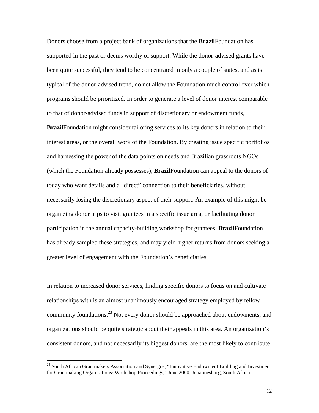Donors choose from a project bank of organizations that the **Brazil**Foundation has supported in the past or deems worthy of support. While the donor-advised grants have been quite successful, they tend to be concentrated in only a couple of states, and as is typical of the donor-advised trend, do not allow the Foundation much control over which programs should be prioritized. In order to generate a level of donor interest comparable to that of donor-advised funds in support of discretionary or endowment funds,

**Brazil**Foundation might consider tailoring services to its key donors in relation to their interest areas, or the overall work of the Foundation. By creating issue specific portfolios and harnessing the power of the data points on needs and Brazilian grassroots NGOs (which the Foundation already possesses), **Brazil**Foundation can appeal to the donors of today who want details and a "direct" connection to their beneficiaries, without necessarily losing the discretionary aspect of their support. An example of this might be organizing donor trips to visit grantees in a specific issue area, or facilitating donor participation in the annual capacity-building workshop for grantees. **Brazil**Foundation has already sampled these strategies, and may yield higher returns from donors seeking a greater level of engagement with the Foundation's beneficiaries.

In relation to increased donor services, finding specific donors to focus on and cultivate relationships with is an almost unanimously encouraged strategy employed by fellow community foundations.23 Not every donor should be approached about endowments, and organizations should be quite strategic about their appeals in this area. An organization's consistent donors, and not necessarily its biggest donors, are the most likely to contribute

<sup>&</sup>lt;sup>23</sup> South African Grantmakers Association and Synergos, "Innovative Endowment Building and Investment for Grantmaking Organisations: Workshop Proceedings," June 2000, Johannesburg, South Africa.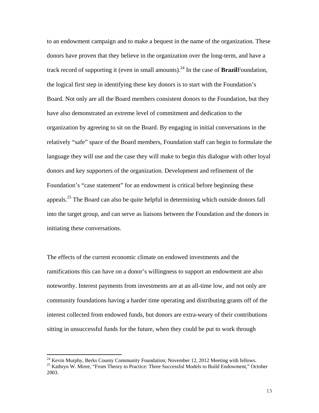to an endowment campaign and to make a bequest in the name of the organization. These donors have proven that they believe in the organization over the long-term, and have a track record of supporting it (even in small amounts).<sup>24</sup> In the case of **Brazil**Foundation, the logical first step in identifying these key donors is to start with the Foundation's Board. Not only are all the Board members consistent donors to the Foundation, but they have also demonstrated an extreme level of commitment and dedication to the organization by agreeing to sit on the Board. By engaging in initial conversations in the relatively "safe" space of the Board members, Foundation staff can begin to formulate the language they will use and the case they will make to begin this dialogue with other loyal donors and key supporters of the organization. Development and refinement of the Foundation's "case statement" for an endowment is critical before beginning these appeals.25 The Board can also be quite helpful in determining which outside donors fall into the target group, and can serve as liaisons between the Foundation and the donors in initiating these conversations.

The effects of the current economic climate on endowed investments and the ramifications this can have on a donor's willingness to support an endowment are also noteworthy. Interest payments from investments are at an all-time low, and not only are community foundations having a harder time operating and distributing grants off of the interest collected from endowed funds, but donors are extra-weary of their contributions sitting in unsuccessful funds for the future, when they could be put to work through

 $24$  Kevin Murphy, Berks County Community Foundation; November 12, 2012 Meeting with fellows.

<sup>&</sup>lt;sup>25</sup> Kathryn W. Miree, "From Theory to Practice: Three Successful Models to Build Endowment," October 2003.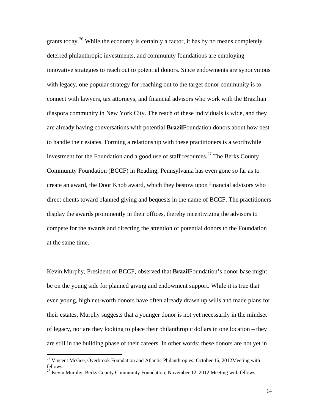grants today.<sup>26</sup> While the economy is certainly a factor, it has by no means completely deterred philanthropic investments, and community foundations are employing innovative strategies to reach out to potential donors. Since endowments are synonymous with legacy, one popular strategy for reaching out to the target donor community is to connect with lawyers, tax attorneys, and financial advisors who work with the Brazilian diaspora community in New York City. The reach of these individuals is wide, and they are already having conversations with potential **Brazil**Foundation donors about how best to handle their estates. Forming a relationship with these practitioners is a worthwhile investment for the Foundation and a good use of staff resources.<sup>27</sup> The Berks County Community Foundation (BCCF) in Reading, Pennsylvania has even gone so far as to create an award, the Door Knob award, which they bestow upon financial advisors who direct clients toward planned giving and bequests in the name of BCCF. The practitioners display the awards prominently in their offices, thereby incentivizing the advisors to compete for the awards and directing the attention of potential donors to the Foundation at the same time.

Kevin Murphy, President of BCCF, observed that **Brazil**Foundation's donor base might be on the young side for planned giving and endowment support. While it is true that even young, high net-worth donors have often already drawn up wills and made plans for their estates, Murphy suggests that a younger donor is not yet necessarily in the mindset of legacy, nor are they looking to place their philanthropic dollars in one location – they are still in the building phase of their careers. In other words: these donors are not yet in

<sup>&</sup>lt;sup>26</sup> Vincent McGee, Overbrook Foundation and Atlantic Philanthropies; October 16, 2012Meeting with fellows.

<sup>&</sup>lt;sup>27</sup> Kevin Murphy, Berks County Community Foundation; November 12, 2012 Meeting with fellows.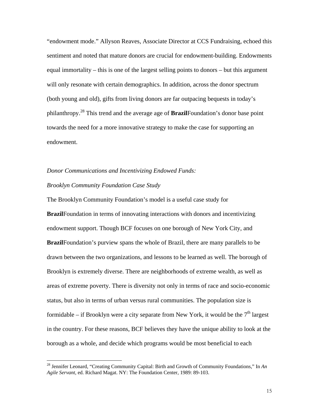"endowment mode." Allyson Reaves, Associate Director at CCS Fundraising, echoed this sentiment and noted that mature donors are crucial for endowment-building. Endowments equal immortality – this is one of the largest selling points to donors – but this argument will only resonate with certain demographics. In addition, across the donor spectrum (both young and old), gifts from living donors are far outpacing bequests in today's philanthropy.28 This trend and the average age of **Brazil**Foundation's donor base point towards the need for a more innovative strategy to make the case for supporting an endowment.

### *Donor Communications and Incentivizing Endowed Funds: Brooklyn Community Foundation Case Study*

 $\overline{a}$ 

The Brooklyn Community Foundation's model is a useful case study for **Brazil**Foundation in terms of innovating interactions with donors and incentivizing endowment support. Though BCF focuses on one borough of New York City, and **Brazil**Foundation's purview spans the whole of Brazil, there are many parallels to be drawn between the two organizations, and lessons to be learned as well. The borough of Brooklyn is extremely diverse. There are neighborhoods of extreme wealth, as well as areas of extreme poverty. There is diversity not only in terms of race and socio-economic status, but also in terms of urban versus rural communities. The population size is formidable – if Brooklyn were a city separate from New York, it would be the  $7<sup>th</sup>$  largest in the country. For these reasons, BCF believes they have the unique ability to look at the borough as a whole, and decide which programs would be most beneficial to each

<sup>28</sup> Jennifer Leonard, "Creating Community Capital: Birth and Growth of Community Foundations," In *An Agile Servant,* ed. Richard Magat. NY: The Foundation Center, 1989: 89-103.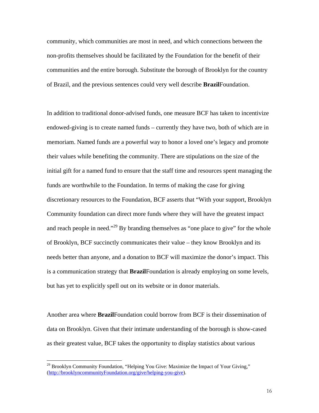community, which communities are most in need, and which connections between the non-profits themselves should be facilitated by the Foundation for the benefit of their communities and the entire borough. Substitute the borough of Brooklyn for the country of Brazil, and the previous sentences could very well describe **Brazil**Foundation.

In addition to traditional donor-advised funds, one measure BCF has taken to incentivize endowed-giving is to create named funds – currently they have two, both of which are in memoriam. Named funds are a powerful way to honor a loved one's legacy and promote their values while benefiting the community. There are stipulations on the size of the initial gift for a named fund to ensure that the staff time and resources spent managing the funds are worthwhile to the Foundation. In terms of making the case for giving discretionary resources to the Foundation, BCF asserts that "With your support, Brooklyn Community foundation can direct more funds where they will have the greatest impact and reach people in need."<sup>29</sup> By branding themselves as "one place to give" for the whole of Brooklyn, BCF succinctly communicates their value – they know Brooklyn and its needs better than anyone, and a donation to BCF will maximize the donor's impact. This is a communication strategy that **Brazil**Foundation is already employing on some levels, but has yet to explicitly spell out on its website or in donor materials.

Another area where **Brazil**Foundation could borrow from BCF is their dissemination of data on Brooklyn. Given that their intimate understanding of the borough is show-cased as their greatest value, BCF takes the opportunity to display statistics about various

<sup>&</sup>lt;sup>29</sup> Brooklyn Community Foundation, "Helping You Give: Maximize the Impact of Your Giving," (http://brooklyncommunityFoundation.org/give/helping-you-give).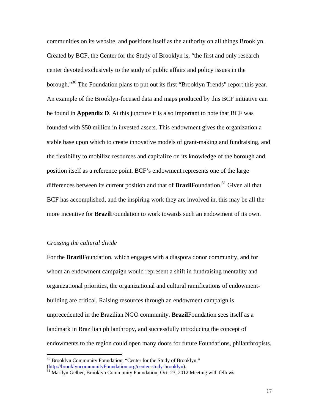communities on its website, and positions itself as the authority on all things Brooklyn. Created by BCF, the Center for the Study of Brooklyn is, "the first and only research center devoted exclusively to the study of public affairs and policy issues in the borough."<sup>30</sup> The Foundation plans to put out its first "Brooklyn Trends" report this year. An example of the Brooklyn-focused data and maps produced by this BCF initiative can be found in **Appendix D**. At this juncture it is also important to note that BCF was founded with \$50 million in invested assets. This endowment gives the organization a stable base upon which to create innovative models of grant-making and fundraising, and the flexibility to mobilize resources and capitalize on its knowledge of the borough and position itself as a reference point. BCF's endowment represents one of the large differences between its current position and that of **Brazil**Foundation.<sup>31</sup> Given all that BCF has accomplished, and the inspiring work they are involved in, this may be all the more incentive for **Brazil**Foundation to work towards such an endowment of its own.

#### *Crossing the cultural divide*

 $\overline{a}$ 

For the **Brazil**Foundation, which engages with a diaspora donor community, and for whom an endowment campaign would represent a shift in fundraising mentality and organizational priorities, the organizational and cultural ramifications of endowmentbuilding are critical. Raising resources through an endowment campaign is unprecedented in the Brazilian NGO community. **Brazil**Foundation sees itself as a landmark in Brazilian philanthropy, and successfully introducing the concept of endowments to the region could open many doors for future Foundations, philanthropists,

<sup>&</sup>lt;sup>30</sup> Brooklyn Community Foundation, "Center for the Study of Brooklyn," (http://brooklyncommunityFoundation.org/center-study-brooklyn).<br><sup>31</sup> Marilyn Gelber, Brooklyn Community Foundation; Oct. 23, 2012 Meeting with fellows.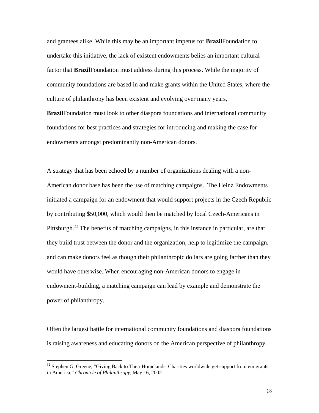and grantees alike. While this may be an important impetus for **Brazil**Foundation to undertake this initiative, the lack of existent endowments belies an important cultural factor that **Brazil**Foundation must address during this process. While the majority of community foundations are based in and make grants within the United States, where the culture of philanthropy has been existent and evolving over many years,

**Brazil**Foundation must look to other diaspora foundations and international community foundations for best practices and strategies for introducing and making the case for endowments amongst predominantly non-American donors.

A strategy that has been echoed by a number of organizations dealing with a non-American donor base has been the use of matching campaigns. The Heinz Endowments initiated a campaign for an endowment that would support projects in the Czech Republic by contributing \$50,000, which would then be matched by local Czech-Americans in Pittsburgh.<sup>32</sup> The benefits of matching campaigns, in this instance in particular, are that they build trust between the donor and the organization, help to legitimize the campaign, and can make donors feel as though their philanthropic dollars are going farther than they would have otherwise. When encouraging non-American donors to engage in endowment-building, a matching campaign can lead by example and demonstrate the power of philanthropy.

Often the largest battle for international community foundations and diaspora foundations is raising awareness and educating donors on the American perspective of philanthropy.

 $32$  Stephen G. Greene, "Giving Back to Their Homelands: Charities worldwide get support from emigrants in America," *Chronicle of Philanthropy*, May 16, 2002.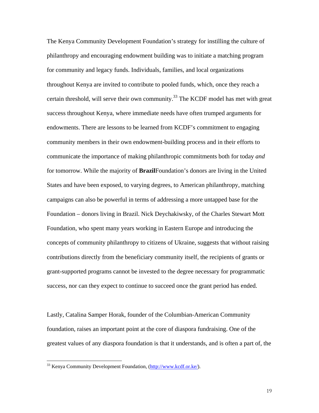The Kenya Community Development Foundation's strategy for instilling the culture of philanthropy and encouraging endowment building was to initiate a matching program for community and legacy funds. Individuals, families, and local organizations throughout Kenya are invited to contribute to pooled funds, which, once they reach a certain threshold, will serve their own community.<sup>33</sup> The KCDF model has met with great success throughout Kenya, where immediate needs have often trumped arguments for endowments. There are lessons to be learned from KCDF's commitment to engaging community members in their own endowment-building process and in their efforts to communicate the importance of making philanthropic commitments both for today *and* for tomorrow. While the majority of **Brazil**Foundation's donors are living in the United States and have been exposed, to varying degrees, to American philanthropy, matching campaigns can also be powerful in terms of addressing a more untapped base for the Foundation – donors living in Brazil. Nick Deychakiwsky, of the Charles Stewart Mott Foundation, who spent many years working in Eastern Europe and introducing the concepts of community philanthropy to citizens of Ukraine, suggests that without raising contributions directly from the beneficiary community itself, the recipients of grants or grant-supported programs cannot be invested to the degree necessary for programmatic success, nor can they expect to continue to succeed once the grant period has ended.

Lastly, Catalina Samper Horak, founder of the Columbian-American Community foundation, raises an important point at the core of diaspora fundraising. One of the greatest values of any diaspora foundation is that it understands, and is often a part of, the

<sup>&</sup>lt;sup>33</sup> Kenya Community Development Foundation, (http://www.kcdf.or.ke/).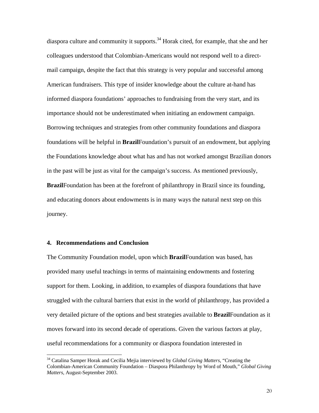diaspora culture and community it supports.<sup>34</sup> Horak cited, for example, that she and her colleagues understood that Colombian-Americans would not respond well to a directmail campaign, despite the fact that this strategy is very popular and successful among American fundraisers. This type of insider knowledge about the culture at-hand has informed diaspora foundations' approaches to fundraising from the very start, and its importance should not be underestimated when initiating an endowment campaign. Borrowing techniques and strategies from other community foundations and diaspora foundations will be helpful in **Brazil**Foundation's pursuit of an endowment, but applying the Foundations knowledge about what has and has not worked amongst Brazilian donors in the past will be just as vital for the campaign's success. As mentioned previously, **Brazil**Foundation has been at the forefront of philanthropy in Brazil since its founding, and educating donors about endowments is in many ways the natural next step on this journey.

#### **4. Recommendations and Conclusion**

 $\overline{a}$ 

The Community Foundation model, upon which **Brazil**Foundation was based, has provided many useful teachings in terms of maintaining endowments and fostering support for them. Looking, in addition, to examples of diaspora foundations that have struggled with the cultural barriers that exist in the world of philanthropy, has provided a very detailed picture of the options and best strategies available to **Brazil**Foundation as it moves forward into its second decade of operations. Given the various factors at play, useful recommendations for a community or diaspora foundation interested in

<sup>34</sup> Catalina Samper Horak and Cecilia Mejia interviewed by *Global Giving Matters*, "Creating the Colombian-American Community Foundation – Diaspora Philanthropy by Word of Mouth," *Global Giving Matters*, August-September 2003.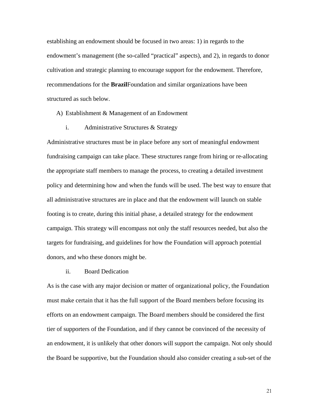establishing an endowment should be focused in two areas: 1) in regards to the endowment's management (the so-called "practical" aspects), and 2), in regards to donor cultivation and strategic planning to encourage support for the endowment. Therefore, recommendations for the **Brazil**Foundation and similar organizations have been structured as such below.

A) Establishment & Management of an Endowment

i. Administrative Structures & Strategy

Administrative structures must be in place before any sort of meaningful endowment fundraising campaign can take place. These structures range from hiring or re-allocating the appropriate staff members to manage the process, to creating a detailed investment policy and determining how and when the funds will be used. The best way to ensure that all administrative structures are in place and that the endowment will launch on stable footing is to create, during this initial phase, a detailed strategy for the endowment campaign. This strategy will encompass not only the staff resources needed, but also the targets for fundraising, and guidelines for how the Foundation will approach potential donors, and who these donors might be.

ii. Board Dedication

As is the case with any major decision or matter of organizational policy, the Foundation must make certain that it has the full support of the Board members before focusing its efforts on an endowment campaign. The Board members should be considered the first tier of supporters of the Foundation, and if they cannot be convinced of the necessity of an endowment, it is unlikely that other donors will support the campaign. Not only should the Board be supportive, but the Foundation should also consider creating a sub-set of the

21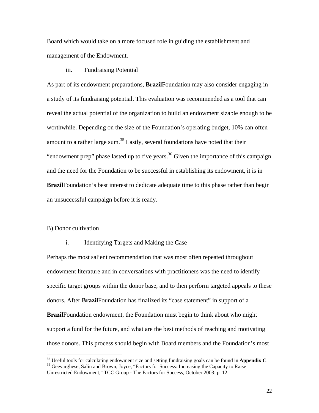Board which would take on a more focused role in guiding the establishment and management of the Endowment.

#### iii. Fundraising Potential

As part of its endowment preparations, **Brazil**Foundation may also consider engaging in a study of its fundraising potential. This evaluation was recommended as a tool that can reveal the actual potential of the organization to build an endowment sizable enough to be worthwhile. Depending on the size of the Foundation's operating budget, 10% can often amount to a rather large sum.<sup>35</sup> Lastly, several foundations have noted that their "endowment prep" phase lasted up to five years.<sup>36</sup> Given the importance of this campaign and the need for the Foundation to be successful in establishing its endowment, it is in **Brazil**Foundation's best interest to dedicate adequate time to this phase rather than begin an unsuccessful campaign before it is ready.

#### B) Donor cultivation

 $\overline{a}$ 

#### i. Identifying Targets and Making the Case

Perhaps the most salient recommendation that was most often repeated throughout endowment literature and in conversations with practitioners was the need to identify specific target groups within the donor base, and to then perform targeted appeals to these donors. After **Brazil**Foundation has finalized its "case statement" in support of a **Brazil**Foundation endowment, the Foundation must begin to think about who might support a fund for the future, and what are the best methods of reaching and motivating those donors. This process should begin with Board members and the Foundation's most

<sup>&</sup>lt;sup>35</sup> Useful tools for calculating endowment size and setting fundraising goals can be found in **Appendix C**.<br><sup>36</sup> Geevarghese, Salin and Brown, Joyce, "Factors for Success: Increasing the Capacity to Raise

Unrestricted Endowment," TCC Group - The Factors for Success, October 2003: p. 12.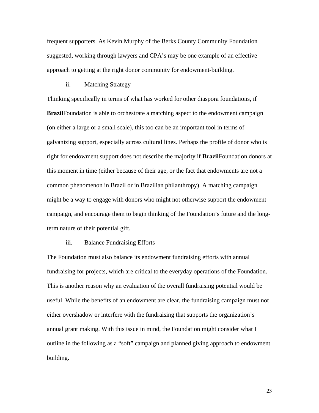frequent supporters. As Kevin Murphy of the Berks County Community Foundation suggested, working through lawyers and CPA's may be one example of an effective approach to getting at the right donor community for endowment-building.

#### ii. Matching Strategy

Thinking specifically in terms of what has worked for other diaspora foundations, if **Brazil**Foundation is able to orchestrate a matching aspect to the endowment campaign (on either a large or a small scale), this too can be an important tool in terms of galvanizing support, especially across cultural lines. Perhaps the profile of donor who is right for endowment support does not describe the majority if **Brazil**Foundation donors at this moment in time (either because of their age, or the fact that endowments are not a common phenomenon in Brazil or in Brazilian philanthropy). A matching campaign might be a way to engage with donors who might not otherwise support the endowment campaign, and encourage them to begin thinking of the Foundation's future and the longterm nature of their potential gift.

#### iii. Balance Fundraising Efforts

The Foundation must also balance its endowment fundraising efforts with annual fundraising for projects, which are critical to the everyday operations of the Foundation. This is another reason why an evaluation of the overall fundraising potential would be useful. While the benefits of an endowment are clear, the fundraising campaign must not either overshadow or interfere with the fundraising that supports the organization's annual grant making. With this issue in mind, the Foundation might consider what I outline in the following as a "soft" campaign and planned giving approach to endowment building.

23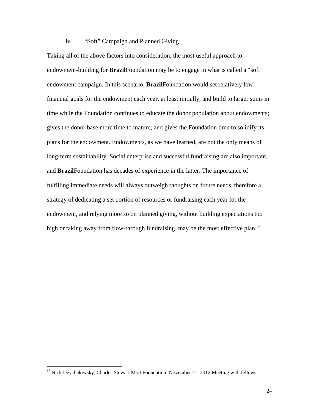#### iv. "Soft" Campaign and Planned Giving

Taking all of the above factors into consideration, the most useful approach to endowment-building for **Brazil**Foundation may be to engage in what is called a "soft" endowment campaign. In this scenario, **Brazil**Foundation would set relatively low financial goals for the endowment each year, at least initially, and build to larger sums in time while the Foundation continues to educate the donor population about endowments; gives the donor base more time to mature; and gives the Foundation time to solidify its plans for the endowment. Endowments, as we have learned, are not the only means of long-term sustainability. Social enterprise and successful fundraising are also important, and **Brazil**Foundation has decades of experience in the latter. The importance of fulfilling immediate needs will always outweigh thoughts on future needs, therefore a strategy of dedicating a set portion of resources or fundraising each year for the endowment, and relying more so on planned giving, without building expectations too high or taking away from flow-through fundraising, may be the most effective plan.<sup>37</sup>

<sup>&</sup>lt;sup>37</sup> Nick Deychakiwsky, Charles Stewart Mott Foundation; November 21, 2012 Meeting with fellows.